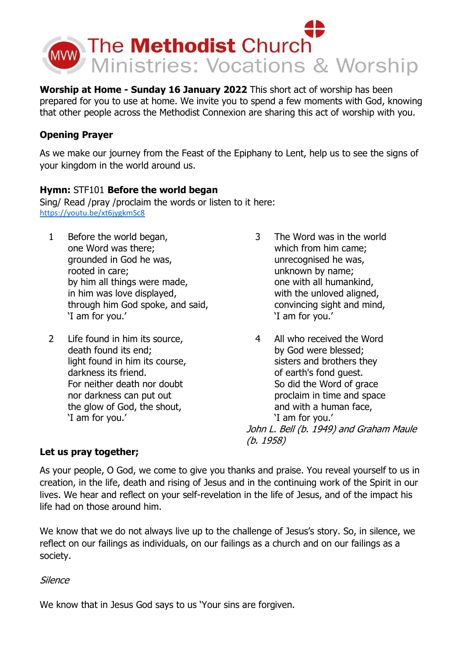

**Worship at Home - Sunday 16 January 2022** This short act of worship has been prepared for you to use at home. We invite you to spend a few moments with God, knowing that other people across the Methodist Connexion are sharing this act of worship with you.

#### **Opening Prayer**

As we make our journey from the Feast of the Epiphany to Lent, help us to see the signs of your kingdom in the world around us.

#### **Hymn:** STF101 **Before the world began**

Sing/ Read /pray /proclaim the words or listen to it here: <https://youtu.be/xt6jygkmSc8>

- 1 Before the world began, one Word was there; grounded in God he was, rooted in care; by him all things were made, in him was love displayed, through him God spoke, and said, 'I am for you.'
- 2 Life found in him its source, death found its end; light found in him its course, darkness its friend. For neither death nor doubt nor darkness can put out the glow of God, the shout, 'I am for you.'
- 3 The Word was in the world which from him came; unrecognised he was, unknown by name; one with all humankind, with the unloved aligned, convincing sight and mind, 'I am for you.'
- 4 All who received the Word by God were blessed; sisters and brothers they of earth's fond guest. So did the Word of grace proclaim in time and space and with a human face, 'I am for you.' John L. Bell (b. 1949) and Graham Maule (b. 1958)

#### **Let us pray together;**

As your people, O God, we come to give you thanks and praise. You reveal yourself to us in creation, in the life, death and rising of Jesus and in the continuing work of the Spirit in our lives. We hear and reflect on your self-revelation in the life of Jesus, and of the impact his life had on those around him.

We know that we do not always live up to the challenge of Jesus's story. So, in silence, we reflect on our failings as individuals, on our failings as a church and on our failings as a society.

#### Silence

We know that in Jesus God says to us 'Your sins are forgiven.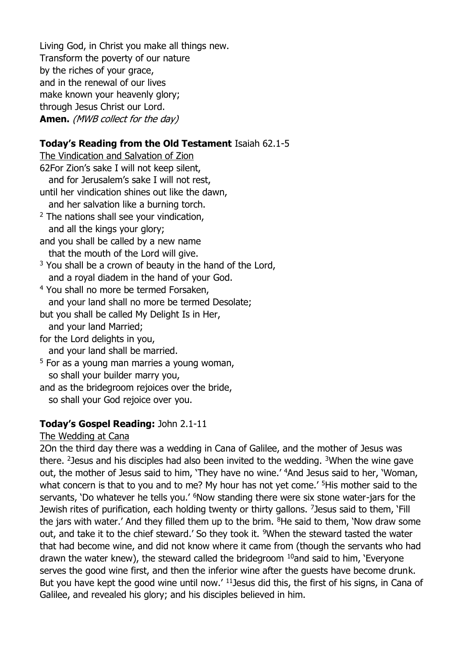Living God, in Christ you make all things new. Transform the poverty of our nature by the riches of your grace, and in the renewal of our lives make known your heavenly glory; through Jesus Christ our Lord. **Amen.** (MWB collect for the day)

# **Today 's Reading from the Old Testament** Isaiah 62.1-5

The Vindication and Salvation of Zion 62For Zion's sake I will not keep silent, and for Jerusalem's sake I will not rest, until her vindication shines out like the dawn, and her salvation like a burning torch. <sup>2</sup> The nations shall see your vindication, and all the kings your glory; and you shall be called by a new name that the mouth of the Lord will give.  $3$  You shall be a crown of beauty in the hand of the Lord, and a royal diadem in the hand of your God. <sup>4</sup> You shall no more be termed Forsaken, and your land shall no more be termed Desolate; but you shall be called My Delight Is in Her, and your land Married; for the Lord delights in you, and your land shall be married.  $5$  For as a young man marries a young woman, so shall your builder marry you, and as the bridegroom rejoices over the bride,

so shall your God rejoice over you.

## **Today 's Gospel Reading:** John 2.1-11

#### The Wedding at Cana

2On the third day there was a wedding in Cana of Galilee, and the mother of Jesus was there. <sup>2</sup> Jesus and his disciples had also been invited to the wedding.  $3$ When the wine gave out, the mother of Jesus said to him, 'They have no wine.' <sup>4</sup>And Jesus said to her, 'Woman, what concern is that to you and to me? My hour has not yet come.' <sup>5</sup>His mother said to the servants, 'Do whatever he tells you.' <sup>6</sup>Now standing there were six stone water-jars for the Jewish rites of purification, each holding twenty or thirty gallons. <sup>7</sup> Jesus said to them, `Fill the jars with water.' And they filled them up to the brim.  $8$ He said to them, 'Now draw some out, and take it to the chief steward.' So they took it. <sup>9</sup>When the steward tasted the water that had become wine, and did not know where it came from (though the servants who had drawn the water knew), the steward called the bridegroom  $10$  and said to him, 'Everyone serves the good wine first, and then the inferior wine after the guests have become drunk. But you have kept the good wine until now.' <sup>11</sup> Jesus did this, the first of his signs, in Cana of Galilee, and revealed his glory; and his disciples believed in him.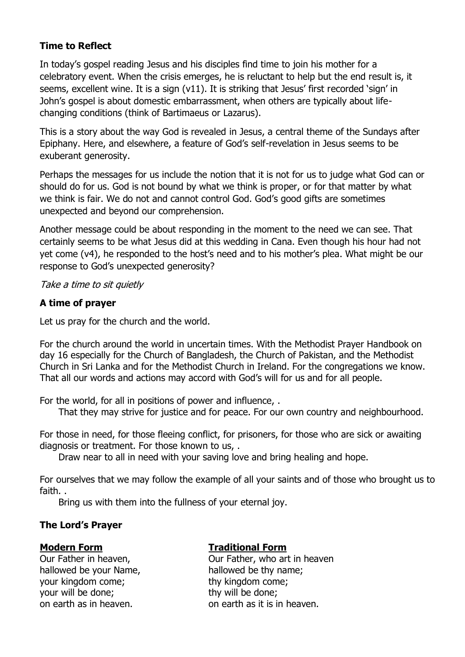#### **Time to Reflect**

In today's gospel reading Jesus and his disciples find time to join his mother for a celebratory event. When the crisis emerges, he is reluctant to help but the end result is, it seems, excellent wine. It is a sign (v11). It is striking that Jesus' first recorded 'sign' in John's gospel is about domestic embarrassment, when others are typically about lifechanging conditions (think of Bartimaeus or Lazarus).

This is a story about the way God is revealed in Jesus, a central theme of the Sundays after Epiphany. Here, and elsewhere, a feature of God's self-revelation in Jesus seems to be exuberant generosity.

Perhaps the messages for us include the notion that it is not for us to judge what God can or should do for us. God is not bound by what we think is proper, or for that matter by what we think is fair. We do not and cannot control God. God's good gifts are sometimes unexpected and beyond our comprehension.

Another message could be about responding in the moment to the need we can see. That certainly seems to be what Jesus did at this wedding in Cana. Even though his hour had not yet come (v4), he responded to the host's need and to his mother's plea. What might be our response to God's unexpected generosity?

Take a time to sit quietly

## **A time of prayer**

Let us pray for the church and the world.

For the church around the world in uncertain times. With the Methodist Prayer Handbook on day 16 especially for the Church of Bangladesh, the Church of Pakistan, and the Methodist Church in Sri Lanka and for the Methodist Church in Ireland. For the congregations we know. That all our words and actions may accord with God's will for us and for all people.

For the world, for all in positions of power and influence, .

That they may strive for justice and for peace. For our own country and neighbourhood.

For those in need, for those fleeing conflict, for prisoners, for those who are sick or awaiting diagnosis or treatment. For those known to us, .

Draw near to all in need with your saving love and bring healing and hope.

For ourselves that we may follow the example of all your saints and of those who brought us to faith. .

Bring us with them into the fullness of your eternal joy.

## **The Lord's Prayer**

hallowed be your Name, hallowed be thy name; your kingdom come; thy kingdom come; your will be done; thy will be done;

## **Modern Form Traditional Form**

Our Father in heaven, Our Father, who art in heaven on earth as in heaven. on earth as it is in heaven.